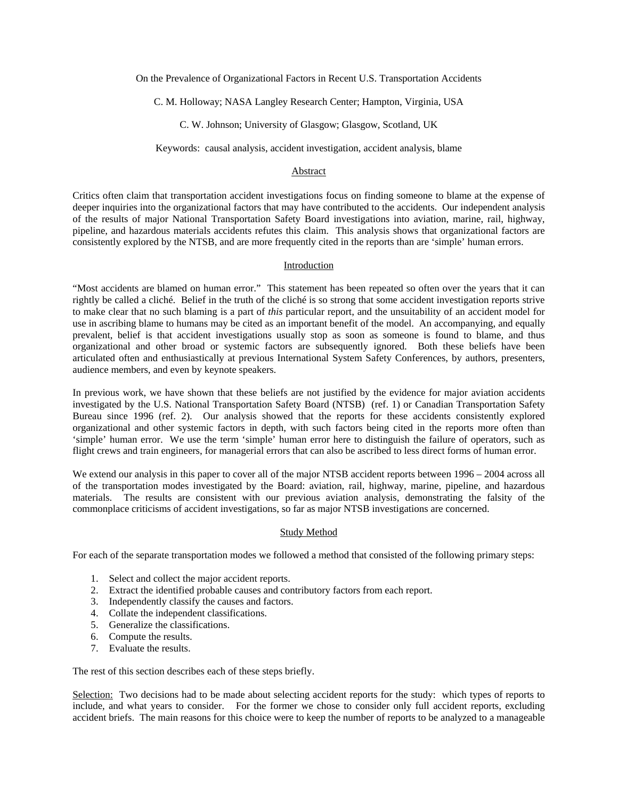On the Prevalence of Organizational Factors in Recent U.S. Transportation Accidents

C. M. Holloway; NASA Langley Research Center; Hampton, Virginia, USA

C. W. Johnson; University of Glasgow; Glasgow, Scotland, UK

Keywords: causal analysis, accident investigation, accident analysis, blame

## Abstract

Critics often claim that transportation accident investigations focus on finding someone to blame at the expense of deeper inquiries into the organizational factors that may have contributed to the accidents. Our independent analysis of the results of major National Transportation Safety Board investigations into aviation, marine, rail, highway, pipeline, and hazardous materials accidents refutes this claim. This analysis shows that organizational factors are consistently explored by the NTSB, and are more frequently cited in the reports than are 'simple' human errors.

### Introduction

"Most accidents are blamed on human error." This statement has been repeated so often over the years that it can rightly be called a cliché. Belief in the truth of the cliché is so strong that some accident investigation reports strive to make clear that no such blaming is a part of *this* particular report, and the unsuitability of an accident model for use in ascribing blame to humans may be cited as an important benefit of the model. An accompanying, and equally prevalent, belief is that accident investigations usually stop as soon as someone is found to blame, and thus organizational and other broad or systemic factors are subsequently ignored. Both these beliefs have been articulated often and enthusiastically at previous International System Safety Conferences, by authors, presenters, audience members, and even by keynote speakers.

In previous work, we have shown that these beliefs are not justified by the evidence for major aviation accidents investigated by the U.S. National Transportation Safety Board (NTSB) (ref. 1) or Canadian Transportation Safety Bureau since 1996 (ref. 2). Our analysis showed that the reports for these accidents consistently explored organizational and other systemic factors in depth, with such factors being cited in the reports more often than 'simple' human error. We use the term 'simple' human error here to distinguish the failure of operators, such as flight crews and train engineers, for managerial errors that can also be ascribed to less direct forms of human error.

We extend our analysis in this paper to cover all of the major NTSB accident reports between  $1996 - 2004$  across all of the transportation modes investigated by the Board: aviation, rail, highway, marine, pipeline, and hazardous materials. The results are consistent with our previous aviation analysis, demonstrating the falsity of the commonplace criticisms of accident investigations, so far as major NTSB investigations are concerned.

# Study Method

For each of the separate transportation modes we followed a method that consisted of the following primary steps:

- 1. Select and collect the major accident reports.
- 2. Extract the identified probable causes and contributory factors from each report.
- 3. Independently classify the causes and factors.
- 4. Collate the independent classifications.
- 5. Generalize the classifications.
- 6. Compute the results.
- 7. Evaluate the results.

The rest of this section describes each of these steps briefly.

Selection: Two decisions had to be made about selecting accident reports for the study: which types of reports to include, and what years to consider. For the former we chose to consider only full accident reports, excluding accident briefs. The main reasons for this choice were to keep the number of reports to be analyzed to a manageable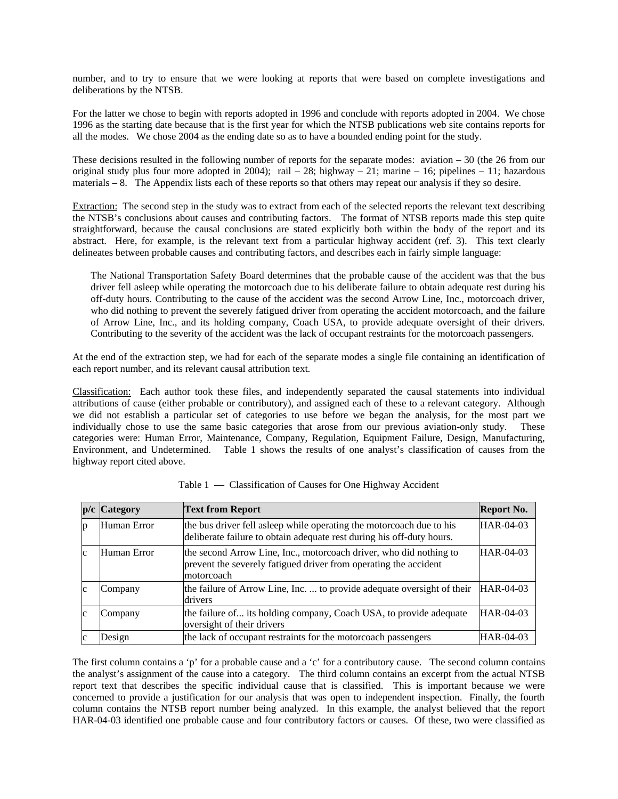number, and to try to ensure that we were looking at reports that were based on complete investigations and deliberations by the NTSB.

For the latter we chose to begin with reports adopted in 1996 and conclude with reports adopted in 2004. We chose 1996 as the starting date because that is the first year for which the NTSB publications web site contains reports for all the modes. We chose 2004 as the ending date so as to have a bounded ending point for the study.

These decisions resulted in the following number of reports for the separate modes: aviation  $-30$  (the 26 from our original study plus four more adopted in 2004); rail  $-28$ ; highway  $-21$ ; marine  $-16$ ; pipelines  $-11$ ; hazardous materials – 8. The Appendix lists each of these reports so that others may repeat our analysis if they so desire.

Extraction: The second step in the study was to extract from each of the selected reports the relevant text describing the NTSB's conclusions about causes and contributing factors. The format of NTSB reports made this step quite straightforward, because the causal conclusions are stated explicitly both within the body of the report and its abstract. Here, for example, is the relevant text from a particular highway accident (ref. 3). This text clearly delineates between probable causes and contributing factors, and describes each in fairly simple language:

The National Transportation Safety Board determines that the probable cause of the accident was that the bus driver fell asleep while operating the motorcoach due to his deliberate failure to obtain adequate rest during his off-duty hours. Contributing to the cause of the accident was the second Arrow Line, Inc., motorcoach driver, who did nothing to prevent the severely fatigued driver from operating the accident motorcoach, and the failure of Arrow Line, Inc., and its holding company, Coach USA, to provide adequate oversight of their drivers. Contributing to the severity of the accident was the lack of occupant restraints for the motorcoach passengers.

At the end of the extraction step, we had for each of the separate modes a single file containing an identification of each report number, and its relevant causal attribution text.

Classification: Each author took these files, and independently separated the causal statements into individual attributions of cause (either probable or contributory), and assigned each of these to a relevant category. Although we did not establish a particular set of categories to use before we began the analysis, for the most part we individually chose to use the same basic categories that arose from our previous aviation-only study. These categories were: Human Error, Maintenance, Company, Regulation, Equipment Failure, Design, Manufacturing, Environment, and Undetermined. Table 1 shows the results of one analyst's classification of causes from the highway report cited above.

| $\mathbf{p}/\mathbf{c}$ | <b>Category</b> | <b>Text from Report</b>                                                                                                                              | <b>Report No.</b> |
|-------------------------|-----------------|------------------------------------------------------------------------------------------------------------------------------------------------------|-------------------|
| p                       | Human Error     | the bus driver fell asleep while operating the motorcoach due to his<br>deliberate failure to obtain adequate rest during his off-duty hours.        | HAR-04-03         |
| c                       | Human Error     | the second Arrow Line, Inc., motorcoach driver, who did nothing to<br>prevent the severely fatigued driver from operating the accident<br>motorcoach | HAR-04-03         |
| $\mathbf c$             | Company         | the failure of Arrow Line, Inc.  to provide adequate oversight of their<br>drivers                                                                   | HAR-04-03         |
| $\mathbf c$             | Company         | the failure of its holding company, Coach USA, to provide adequate<br>oversight of their drivers                                                     | $HAR-04-03$       |
| $\mathbf c$             | Design          | the lack of occupant restraints for the motorcoach passengers                                                                                        | HAR-04-03         |

Table 1 — Classification of Causes for One Highway Accident

The first column contains a 'p' for a probable cause and a 'c' for a contributory cause. The second column contains the analyst's assignment of the cause into a category. The third column contains an excerpt from the actual NTSB report text that describes the specific individual cause that is classified. This is important because we were concerned to provide a justification for our analysis that was open to independent inspection. Finally, the fourth column contains the NTSB report number being analyzed. In this example, the analyst believed that the report HAR-04-03 identified one probable cause and four contributory factors or causes. Of these, two were classified as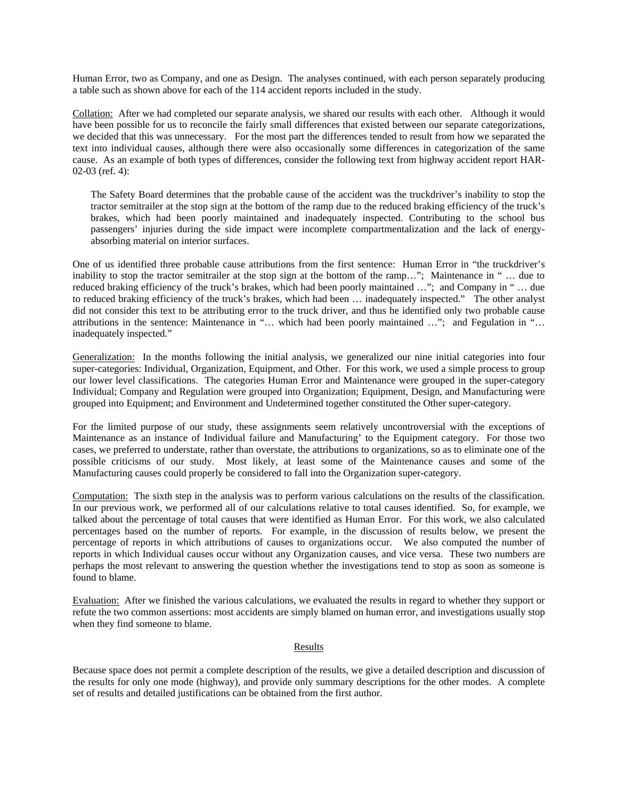Human Error, two as Company, and one as Design. The analyses continued, with each person separately producing a table such as shown above for each of the 114 accident reports included in the study.

Collation: After we had completed our separate analysis, we shared our results with each other. Although it would have been possible for us to reconcile the fairly small differences that existed between our separate categorizations, we decided that this was unnecessary. For the most part the differences tended to result from how we separated the text into individual causes, although there were also occasionally some differences in categorization of the same cause. As an example of both types of differences, consider the following text from highway accident report HAR-02-03 (ref. 4):

The Safety Board determines that the probable cause of the accident was the truckdriver's inability to stop the tractor semitrailer at the stop sign at the bottom of the ramp due to the reduced braking efficiency of the truck's brakes, which had been poorly maintained and inadequately inspected. Contributing to the school bus passengers' injuries during the side impact were incomplete compartmentalization and the lack of energyabsorbing material on interior surfaces.

One of us identified three probable cause attributions from the first sentence: Human Error in "the truckdriver's inability to stop the tractor semitrailer at the stop sign at the bottom of the ramp…"; Maintenance in " … due to reduced braking efficiency of the truck's brakes, which had been poorly maintained …"; and Company in " … due to reduced braking efficiency of the truck's brakes, which had been … inadequately inspected." The other analyst did not consider this text to be attributing error to the truck driver, and thus he identified only two probable cause attributions in the sentence: Maintenance in "… which had been poorly maintained …"; and Fegulation in "… inadequately inspected."

Generalization: In the months following the initial analysis, we generalized our nine initial categories into four super-categories: Individual, Organization, Equipment, and Other. For this work, we used a simple process to group our lower level classifications. The categories Human Error and Maintenance were grouped in the super-category Individual; Company and Regulation were grouped into Organization; Equipment, Design, and Manufacturing were grouped into Equipment; and Environment and Undetermined together constituted the Other super-category.

For the limited purpose of our study, these assignments seem relatively uncontroversial with the exceptions of Maintenance as an instance of Individual failure and Manufacturing' to the Equipment category. For those two cases, we preferred to understate, rather than overstate, the attributions to organizations, so as to eliminate one of the possible criticisms of our study. Most likely, at least some of the Maintenance causes and some of the Manufacturing causes could properly be considered to fall into the Organization super-category.

Computation: The sixth step in the analysis was to perform various calculations on the results of the classification. In our previous work, we performed all of our calculations relative to total causes identified. So, for example, we talked about the percentage of total causes that were identified as Human Error. For this work, we also calculated percentages based on the number of reports. For example, in the discussion of results below, we present the percentage of reports in which attributions of causes to organizations occur. We also computed the number of reports in which Individual causes occur without any Organization causes, and vice versa. These two numbers are perhaps the most relevant to answering the question whether the investigations tend to stop as soon as someone is found to blame.

Evaluation: After we finished the various calculations, we evaluated the results in regard to whether they support or refute the two common assertions: most accidents are simply blamed on human error, and investigations usually stop when they find someone to blame.

## Results

Because space does not permit a complete description of the results, we give a detailed description and discussion of the results for only one mode (highway), and provide only summary descriptions for the other modes. A complete set of results and detailed justifications can be obtained from the first author.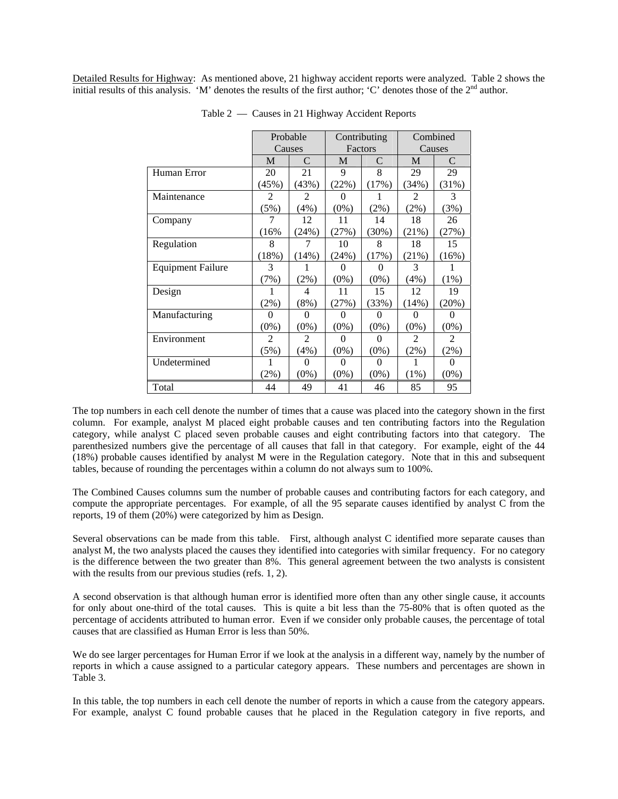Detailed Results for Highway: As mentioned above, 21 highway accident reports were analyzed. Table 2 shows the initial results of this analysis. 'M' denotes the results of the first author; 'C' denotes those of the 2nd author.

|                          | Probable       |                | Contributing |          | Combined       |          |
|--------------------------|----------------|----------------|--------------|----------|----------------|----------|
|                          | Causes         |                | Factors      |          | Causes         |          |
|                          | M              | C              | М            | C        | M              | C        |
| Human Error              | 20             | 21             | 9            | 8        | 29             | 29       |
|                          | (45%)          | (43%)          | (22%)        | (17%)    | (34%)          | (31%)    |
| Maintenance              | $\mathfrak{D}$ | $\mathfrak{D}$ | 0            |          | $\mathfrak{D}$ | 3        |
|                          | (5%)           | (4%)           | $(0\%)$      | (2%)     | $(2\%)$        | (3%)     |
| Company                  | 7              | 12             | 11           | 14       | 18             | 26       |
|                          | (16%           | (24%)          | (27%)        | (30%)    | (21%)          | (27%)    |
| Regulation               | 8              |                | 10           | 8        | 18             | 15       |
|                          | (18%)          | (14%)          | (24%)        | (17%)    | (21%)          | (16%)    |
| <b>Equipment Failure</b> | 3              |                | $\Omega$     | $\theta$ | 3              |          |
|                          | (7%)           | $(2\%)$        | $(0\%)$      | $(0\%)$  | (4%)           | $(1\%)$  |
| Design                   | 1              | 4              | 11           | 15       | 12             | 19       |
|                          | $(2\%)$        | (8%)           | (27%)        | (33%)    | (14%)          | (20%)    |
| Manufacturing            | 0              | 0              | 0            | 0        | $\Omega$       | 0        |
|                          | $(0\%)$        | $(0\%)$        | $(0\%)$      | $(0\%)$  | $(0\%)$        | $(0\%)$  |
| Environment              | 2              | 2              | $\theta$     | $_{0}$   | 2              | 2        |
|                          | (5%)           | (4%)           | $(0\%)$      | $(0\%)$  | (2%)           | (2%)     |
| Undetermined             |                | $\Omega$       | 0            | $\Omega$ | 1              | $\Omega$ |
|                          | $(2\%)$        | $(0\%)$        | $(0\%)$      | $(0\%)$  | $(1\%)$        | $(0\%)$  |
| Total                    | 44             | 49             | 41           | 46       | 85             | 95       |

Table 2 — Causes in 21 Highway Accident Reports

The top numbers in each cell denote the number of times that a cause was placed into the category shown in the first column. For example, analyst M placed eight probable causes and ten contributing factors into the Regulation category, while analyst C placed seven probable causes and eight contributing factors into that category. The parenthesized numbers give the percentage of all causes that fall in that category. For example, eight of the 44 (18%) probable causes identified by analyst M were in the Regulation category. Note that in this and subsequent tables, because of rounding the percentages within a column do not always sum to 100%.

The Combined Causes columns sum the number of probable causes and contributing factors for each category, and compute the appropriate percentages. For example, of all the 95 separate causes identified by analyst C from the reports, 19 of them (20%) were categorized by him as Design.

Several observations can be made from this table. First, although analyst C identified more separate causes than analyst M, the two analysts placed the causes they identified into categories with similar frequency. For no category is the difference between the two greater than 8%. This general agreement between the two analysts is consistent with the results from our previous studies (refs. 1, 2).

A second observation is that although human error is identified more often than any other single cause, it accounts for only about one-third of the total causes. This is quite a bit less than the 75-80% that is often quoted as the percentage of accidents attributed to human error. Even if we consider only probable causes, the percentage of total causes that are classified as Human Error is less than 50%.

We do see larger percentages for Human Error if we look at the analysis in a different way, namely by the number of reports in which a cause assigned to a particular category appears. These numbers and percentages are shown in Table 3.

In this table, the top numbers in each cell denote the number of reports in which a cause from the category appears. For example, analyst C found probable causes that he placed in the Regulation category in five reports, and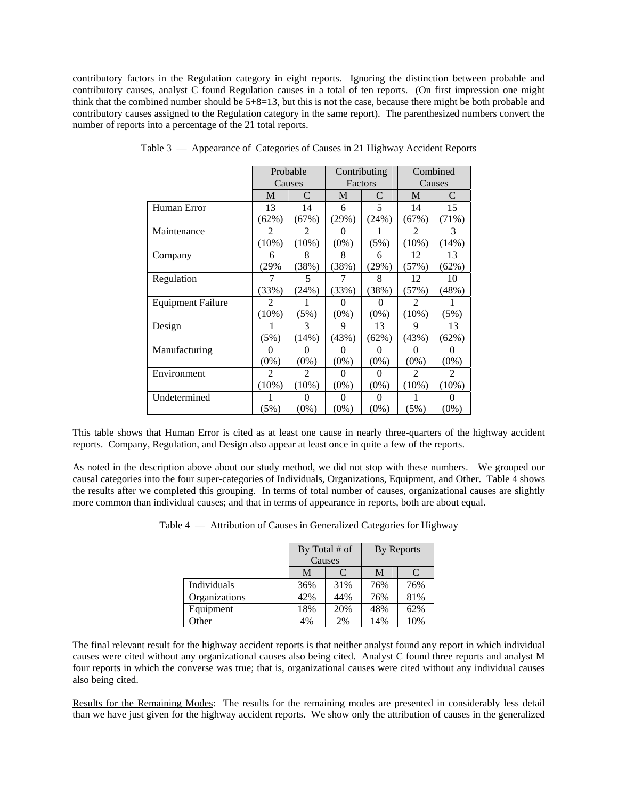contributory factors in the Regulation category in eight reports. Ignoring the distinction between probable and contributory causes, analyst C found Regulation causes in a total of ten reports. (On first impression one might think that the combined number should be  $5+8=13$ , but this is not the case, because there might be both probable and contributory causes assigned to the Regulation category in the same report). The parenthesized numbers convert the number of reports into a percentage of the 21 total reports.

|                          |                | Probable          | Contributing      |          | Combined       |                |
|--------------------------|----------------|-------------------|-------------------|----------|----------------|----------------|
|                          |                | Factors<br>Causes |                   |          | Causes         |                |
|                          | M              | C                 | М                 | C        | М              | C              |
| Human Error              | 13             | 14                | 6                 | 5        | 14             | 15             |
|                          | (62%)          | (67%)             | (29%)             | (24%)    | (67%)          | (71%)          |
| Maintenance              | 2              | 2                 | 0                 |          | 2              | 3              |
|                          | $(10\%)$       | $(10\%)$          | $(0\%)$           | (5%)     | (10%)          | (14%)          |
| Company                  | 6              | 8                 | 8                 | 6        | 12             | 13             |
|                          | (29%           | (38%)             | (38%)             | (29%)    | (57%)          | (62%)          |
| Regulation               | 7              | 5                 |                   | 8        | 12             | 10             |
|                          | (33%)          | (24%)             | (33%)             | (38%)    | (57%)          | (48%)          |
| <b>Equipment Failure</b> | $\overline{2}$ |                   | $\mathbf{\Omega}$ | $\theta$ | $\mathfrak{D}$ |                |
|                          | $(10\%)$       | (5%)              | $(0\%)$           | $(0\%)$  | $(10\%)$       | (5%)           |
| Design                   |                | 3                 | 9                 | 13       | 9              | 13             |
|                          | (5%)           | (14%)             | (43%)             | (62%)    | (43%)          | (62%)          |
| Manufacturing            | $_{0}$         | $\theta$          |                   | $\theta$ | $\theta$       | $\theta$       |
|                          | $(0\%)$        | $(0\%)$           | $(0\%)$           | $(0\%)$  | $(0\%)$        | $(0\%)$        |
| Environment              | $\overline{2}$ | $\overline{2}$    | $\theta$          | $\theta$ | $\overline{2}$ | $\overline{2}$ |
|                          | (10%)          | (10%)             | $(0\%)$           | $(0\%)$  | $(10\%)$       | $(10\%)$       |
| Undetermined             |                | $\theta$          | $\mathbf{\Omega}$ | $\theta$ |                | $\theta$       |
|                          | (5%)           | $(0\%)$           | $(0\%)$           | $(0\%)$  | (5%)           | $(0\%)$        |

Table 3 — Appearance of Categories of Causes in 21 Highway Accident Reports

This table shows that Human Error is cited as at least one cause in nearly three-quarters of the highway accident reports. Company, Regulation, and Design also appear at least once in quite a few of the reports.

As noted in the description above about our study method, we did not stop with these numbers. We grouped our causal categories into the four super-categories of Individuals, Organizations, Equipment, and Other. Table 4 shows the results after we completed this grouping. In terms of total number of causes, organizational causes are slightly more common than individual causes; and that in terms of appearance in reports, both are about equal.

|               |     | By Total # of<br>Causes |     | By Reports |  |
|---------------|-----|-------------------------|-----|------------|--|
|               | M   |                         | M   |            |  |
| Individuals   | 36% | 31%                     | 76% | 76%        |  |
| Organizations | 42% | 44%                     | 76% | 81%        |  |
| Equipment     | 18% | 20%                     | 48% | 62%        |  |

Table 4 — Attribution of Causes in Generalized Categories for Highway

The final relevant result for the highway accident reports is that neither analyst found any report in which individual causes were cited without any organizational causes also being cited. Analyst C found three reports and analyst M four reports in which the converse was true; that is, organizational causes were cited without any individual causes also being cited.

Other 10% 2% 14% 10%

Results for the Remaining Modes: The results for the remaining modes are presented in considerably less detail than we have just given for the highway accident reports. We show only the attribution of causes in the generalized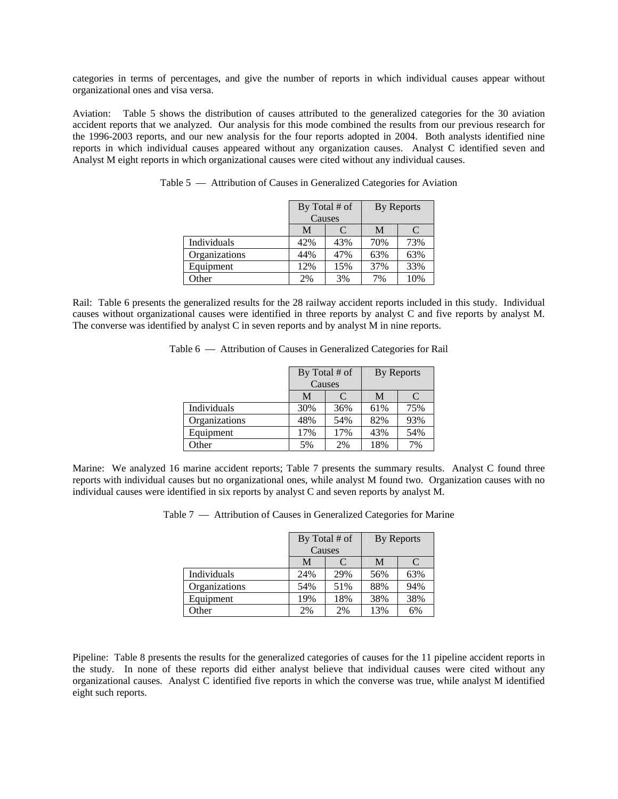categories in terms of percentages, and give the number of reports in which individual causes appear without organizational ones and visa versa.

Aviation: Table 5 shows the distribution of causes attributed to the generalized categories for the 30 aviation accident reports that we analyzed. Our analysis for this mode combined the results from our previous research for the 1996-2003 reports, and our new analysis for the four reports adopted in 2004. Both analysts identified nine reports in which individual causes appeared without any organization causes. Analyst C identified seven and Analyst M eight reports in which organizational causes were cited without any individual causes.

|               | By Total # of |     | By Reports |     |
|---------------|---------------|-----|------------|-----|
|               | Causes        |     |            |     |
|               | М             | C   | M          | C   |
| Individuals   | 42%           | 43% | 70%        | 73% |
| Organizations | 44%           | 47% | 63%        | 63% |
| Equipment     | 12%           | 15% | 37%        | 33% |
| Other         | 2%            | 3%  | 7%         | 10% |

Table 5 — Attribution of Causes in Generalized Categories for Aviation

Rail: Table 6 presents the generalized results for the 28 railway accident reports included in this study. Individual causes without organizational causes were identified in three reports by analyst C and five reports by analyst M. The converse was identified by analyst C in seven reports and by analyst M in nine reports.

|  |  | Table 6 — Attribution of Causes in Generalized Categories for Rail |  |
|--|--|--------------------------------------------------------------------|--|
|  |  |                                                                    |  |

|               | By Total # of<br>Causes |     | By Reports |                             |
|---------------|-------------------------|-----|------------|-----------------------------|
|               | M                       | C   | M          | $\mathcal{C}_{\mathcal{C}}$ |
| Individuals   | 30%                     | 36% | 61%        | 75%                         |
| Organizations | 48%                     | 54% | 82%        | 93%                         |
| Equipment     | 17%                     | 17% | 43%        | 54%                         |
| Other         | 5%                      | 2%  | 18%        | 7%                          |

Marine: We analyzed 16 marine accident reports; Table 7 presents the summary results. Analyst C found three reports with individual causes but no organizational ones, while analyst M found two. Organization causes with no individual causes were identified in six reports by analyst C and seven reports by analyst M.

|  |  |  |  | Table 7 — Attribution of Causes in Generalized Categories for Marine |  |  |
|--|--|--|--|----------------------------------------------------------------------|--|--|
|--|--|--|--|----------------------------------------------------------------------|--|--|

|               | By Total # of |        | By Reports |     |
|---------------|---------------|--------|------------|-----|
|               |               | Causes |            |     |
|               | M             | C      | M          |     |
| Individuals   | 24%           | 29%    | 56%        | 63% |
| Organizations | 54%           | 51%    | 88%        | 94% |
| Equipment     | 19%           | 18%    | 38%        | 38% |
| Other         | 2%            | 2%     | 13%        | 6%  |

Pipeline: Table 8 presents the results for the generalized categories of causes for the 11 pipeline accident reports in the study. In none of these reports did either analyst believe that individual causes were cited without any organizational causes. Analyst C identified five reports in which the converse was true, while analyst M identified eight such reports.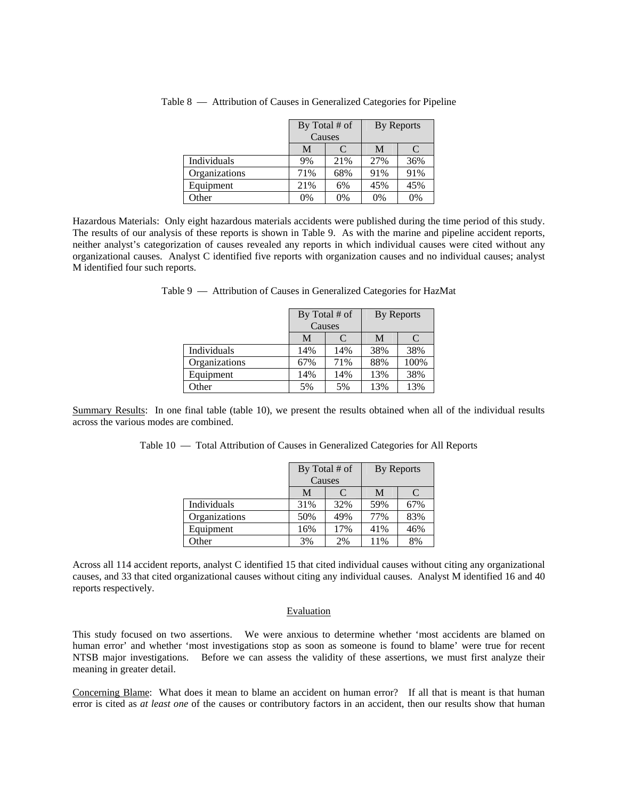|               | By Total # of |        | By Reports |     |
|---------------|---------------|--------|------------|-----|
|               |               | Causes |            |     |
|               | М             | C      | M          |     |
| Individuals   | 9%            | 21%    | 27%        | 36% |
| Organizations | 71%           | 68%    | 91%        | 91% |
| Equipment     | 21%           | 6%     | 45%        | 45% |
| <b>Other</b>  | 0%            | 0%     | 0%         | 0%  |

Table 8 — Attribution of Causes in Generalized Categories for Pipeline

Hazardous Materials: Only eight hazardous materials accidents were published during the time period of this study. The results of our analysis of these reports is shown in Table 9. As with the marine and pipeline accident reports, neither analyst's categorization of causes revealed any reports in which individual causes were cited without any organizational causes. Analyst C identified five reports with organization causes and no individual causes; analyst M identified four such reports.

|               | By Total # of<br>Causes |     | By Reports |      |
|---------------|-------------------------|-----|------------|------|
|               | M                       | C   | M          | C    |
| Individuals   | 14%                     | 14% | 38%        | 38%  |
| Organizations | 67%                     | 71% | 88%        | 100% |
| Equipment     | 14%                     | 14% | 13%        | 38%  |
| Other         | 5%                      | 5%  | 13%        | 13%  |

Table 9 — Attribution of Causes in Generalized Categories for HazMat

Summary Results: In one final table (table 10), we present the results obtained when all of the individual results across the various modes are combined.

|               |     | By Total # of<br>Causes |     | By Reports |  |
|---------------|-----|-------------------------|-----|------------|--|
|               | M   |                         |     |            |  |
| Individuals   | 31% | 32%                     | 59% | 57%        |  |
| Organizations | 50% | 49%                     | 77% | 83%        |  |
| Equipment     | 16% | 7%                      | 41% | 16%        |  |

Table 10 — Total Attribution of Causes in Generalized Categories for All Reports

Across all 114 accident reports, analyst C identified 15 that cited individual causes without citing any organizational causes, and 33 that cited organizational causes without citing any individual causes. Analyst M identified 16 and 40 reports respectively.

Other 11% 3% 2% 11% 8%

### Evaluation

This study focused on two assertions. We were anxious to determine whether 'most accidents are blamed on human error' and whether 'most investigations stop as soon as someone is found to blame' were true for recent NTSB major investigations. Before we can assess the validity of these assertions, we must first analyze their meaning in greater detail.

Concerning Blame: What does it mean to blame an accident on human error? If all that is meant is that human error is cited as *at least one* of the causes or contributory factors in an accident, then our results show that human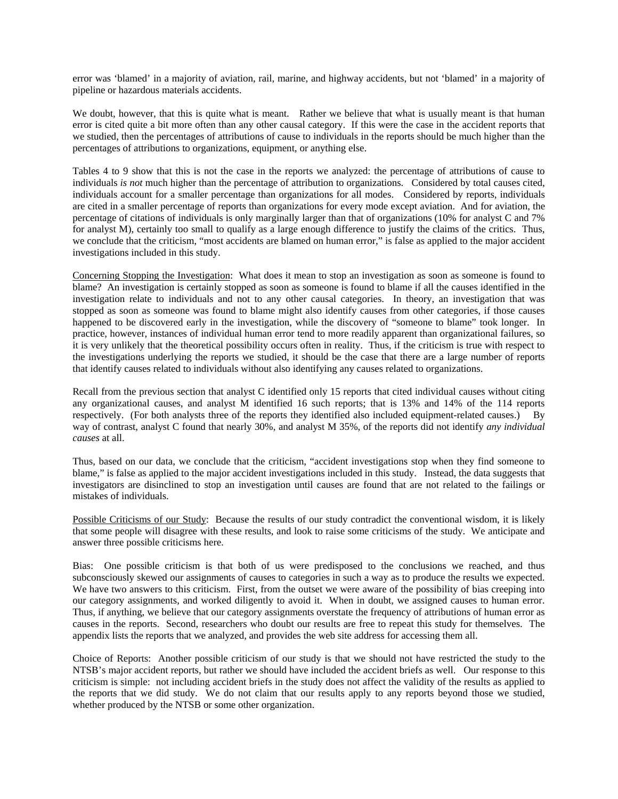error was 'blamed' in a majority of aviation, rail, marine, and highway accidents, but not 'blamed' in a majority of pipeline or hazardous materials accidents.

We doubt, however, that this is quite what is meant. Rather we believe that what is usually meant is that human error is cited quite a bit more often than any other causal category. If this were the case in the accident reports that we studied, then the percentages of attributions of cause to individuals in the reports should be much higher than the percentages of attributions to organizations, equipment, or anything else.

Tables 4 to 9 show that this is not the case in the reports we analyzed: the percentage of attributions of cause to individuals *is not* much higher than the percentage of attribution to organizations. Considered by total causes cited, individuals account for a smaller percentage than organizations for all modes. Considered by reports, individuals are cited in a smaller percentage of reports than organizations for every mode except aviation. And for aviation, the percentage of citations of individuals is only marginally larger than that of organizations (10% for analyst C and 7% for analyst M), certainly too small to qualify as a large enough difference to justify the claims of the critics. Thus, we conclude that the criticism, "most accidents are blamed on human error," is false as applied to the major accident investigations included in this study.

Concerning Stopping the Investigation: What does it mean to stop an investigation as soon as someone is found to blame? An investigation is certainly stopped as soon as someone is found to blame if all the causes identified in the investigation relate to individuals and not to any other causal categories. In theory, an investigation that was stopped as soon as someone was found to blame might also identify causes from other categories, if those causes happened to be discovered early in the investigation, while the discovery of "someone to blame" took longer. In practice, however, instances of individual human error tend to more readily apparent than organizational failures, so it is very unlikely that the theoretical possibility occurs often in reality. Thus, if the criticism is true with respect to the investigations underlying the reports we studied, it should be the case that there are a large number of reports that identify causes related to individuals without also identifying any causes related to organizations.

Recall from the previous section that analyst C identified only 15 reports that cited individual causes without citing any organizational causes, and analyst M identified 16 such reports; that is 13% and 14% of the 114 reports respectively. (For both analysts three of the reports they identified also included equipment-related causes.) By way of contrast, analyst C found that nearly 30%, and analyst M 35%, of the reports did not identify *any individual causes* at all.

Thus, based on our data, we conclude that the criticism, "accident investigations stop when they find someone to blame," is false as applied to the major accident investigations included in this study. Instead, the data suggests that investigators are disinclined to stop an investigation until causes are found that are not related to the failings or mistakes of individuals.

Possible Criticisms of our Study: Because the results of our study contradict the conventional wisdom, it is likely that some people will disagree with these results, and look to raise some criticisms of the study. We anticipate and answer three possible criticisms here.

Bias: One possible criticism is that both of us were predisposed to the conclusions we reached, and thus subconsciously skewed our assignments of causes to categories in such a way as to produce the results we expected. We have two answers to this criticism. First, from the outset we were aware of the possibility of bias creeping into our category assignments, and worked diligently to avoid it. When in doubt, we assigned causes to human error. Thus, if anything, we believe that our category assignments overstate the frequency of attributions of human error as causes in the reports. Second, researchers who doubt our results are free to repeat this study for themselves. The appendix lists the reports that we analyzed, and provides the web site address for accessing them all.

Choice of Reports: Another possible criticism of our study is that we should not have restricted the study to the NTSB's major accident reports, but rather we should have included the accident briefs as well. Our response to this criticism is simple: not including accident briefs in the study does not affect the validity of the results as applied to the reports that we did study. We do not claim that our results apply to any reports beyond those we studied, whether produced by the NTSB or some other organization.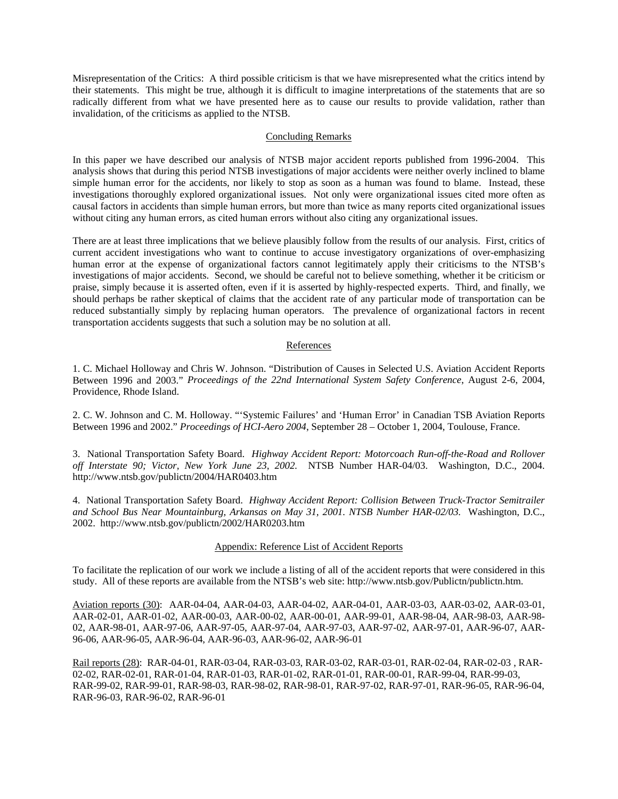Misrepresentation of the Critics: A third possible criticism is that we have misrepresented what the critics intend by their statements. This might be true, although it is difficult to imagine interpretations of the statements that are so radically different from what we have presented here as to cause our results to provide validation, rather than invalidation, of the criticisms as applied to the NTSB.

### Concluding Remarks

In this paper we have described our analysis of NTSB major accident reports published from 1996-2004. This analysis shows that during this period NTSB investigations of major accidents were neither overly inclined to blame simple human error for the accidents, nor likely to stop as soon as a human was found to blame. Instead, these investigations thoroughly explored organizational issues. Not only were organizational issues cited more often as causal factors in accidents than simple human errors, but more than twice as many reports cited organizational issues without citing any human errors, as cited human errors without also citing any organizational issues.

There are at least three implications that we believe plausibly follow from the results of our analysis. First, critics of current accident investigations who want to continue to accuse investigatory organizations of over-emphasizing human error at the expense of organizational factors cannot legitimately apply their criticisms to the NTSB's investigations of major accidents. Second, we should be careful not to believe something, whether it be criticism or praise, simply because it is asserted often, even if it is asserted by highly-respected experts. Third, and finally, we should perhaps be rather skeptical of claims that the accident rate of any particular mode of transportation can be reduced substantially simply by replacing human operators. The prevalence of organizational factors in recent transportation accidents suggests that such a solution may be no solution at all.

### References

1. C. Michael Holloway and Chris W. Johnson. "Distribution of Causes in Selected U.S. Aviation Accident Reports Between 1996 and 2003." *Proceedings of the 22nd International System Safety Conference*, August 2-6, 2004, Providence, Rhode Island.

2. C. W. Johnson and C. M. Holloway. "'Systemic Failures' and 'Human Error' in Canadian TSB Aviation Reports Between 1996 and 2002." *Proceedings of HCI-Aero 2004*, September 28 – October 1, 2004, Toulouse, France.

3. National Transportation Safety Board. *Highway Accident Report: Motorcoach Run-off-the-Road and Rollover off Interstate 90; Victor, New York June 23, 2002.* NTSB Number HAR-04/03. Washington, D.C., 2004. http://www.ntsb.gov/publictn/2004/HAR0403.htm

4. National Transportation Safety Board. *Highway Accident Report: Collision Between Truck-Tractor Semitrailer and School Bus Near Mountainburg, Arkansas on May 31, 2001. NTSB Number HAR-02/03.* Washington, D.C., 2002. http://www.ntsb.gov/publictn/2002/HAR0203.htm

### Appendix: Reference List of Accident Reports

To facilitate the replication of our work we include a listing of all of the accident reports that were considered in this study. All of these reports are available from the NTSB's web site: http://www.ntsb.gov/Publictn/publictn.htm.

Aviation reports (30): AAR-04-04, AAR-04-03, AAR-04-02, AAR-04-01, AAR-03-03, AAR-03-02, AAR-03-01, AAR-02-01, AAR-01-02, AAR-00-03, AAR-00-02, AAR-00-01, AAR-99-01, AAR-98-04, AAR-98-03, AAR-98- 02, AAR-98-01, AAR-97-06, AAR-97-05, AAR-97-04, AAR-97-03, AAR-97-02, AAR-97-01, AAR-96-07, AAR-96-06, AAR-96-05, AAR-96-04, AAR-96-03, AAR-96-02, AAR-96-01

Rail reports (28): RAR-04-01, RAR-03-04, RAR-03-03, RAR-03-02, RAR-03-01, RAR-02-04, RAR-02-03 , RAR-02-02, RAR-02-01, RAR-01-04, RAR-01-03, RAR-01-02, RAR-01-01, RAR-00-01, RAR-99-04, RAR-99-03, RAR-99-02, RAR-99-01, RAR-98-03, RAR-98-02, RAR-98-01, RAR-97-02, RAR-97-01, RAR-96-05, RAR-96-04, RAR-96-03, RAR-96-02, RAR-96-01